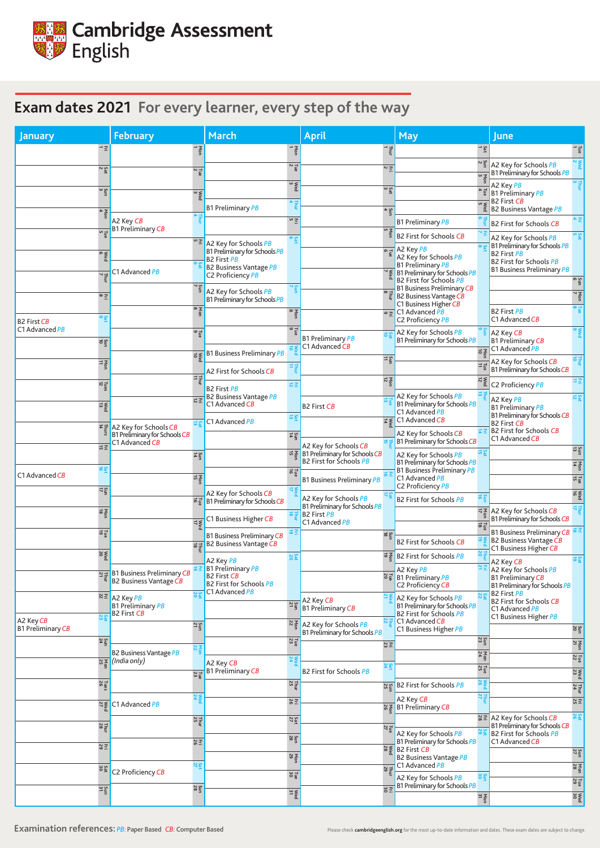| January                        |                          | <b>February</b>                                                                 |                               | <b>March</b>                                                                                                                |                                | <b>April</b>                                               | <b>May</b>                                                                                            |                                         | <b>June</b>                                                                                                                             |  |
|--------------------------------|--------------------------|---------------------------------------------------------------------------------|-------------------------------|-----------------------------------------------------------------------------------------------------------------------------|--------------------------------|------------------------------------------------------------|-------------------------------------------------------------------------------------------------------|-----------------------------------------|-----------------------------------------------------------------------------------------------------------------------------------------|--|
|                                | $\rightarrow \Xi$        |                                                                                 | yen                           |                                                                                                                             | $\frac{1}{9}$                  | ᅼ                                                          |                                                                                                       | Sat<br>1                                | $\frac{1}{9}$                                                                                                                           |  |
|                                | $\frac{Sat}{2}$          |                                                                                 | $\frac{1}{2}$                 |                                                                                                                             | $\frac{1}{2}$ $\sim$           | 고 ~                                                        |                                                                                                       | $\frac{5}{2}$<br>$\frac{\text{Non}}{3}$ | $\geqslant$<br>A2 Key for Schools PB<br>B1 Preliminary for Schools PB                                                                   |  |
|                                | $\frac{5}{3}$            |                                                                                 |                               |                                                                                                                             | $\sum_{3}^{\infty}$            | S <sub>a</sub>                                             |                                                                                                       | $\frac{1}{4}$                           | A2 Key PB<br><b>B1 Preliminary PB</b>                                                                                                   |  |
|                                |                          |                                                                                 | $\frac{3}{3}$                 | <b>B1 Preliminary PB</b>                                                                                                    | $\frac{1}{4}$                  |                                                            |                                                                                                       | $\frac{\text{Wed}}{\text{s}}$           | <b>B2 First CB</b><br><b>B2 Business Vantage PB</b>                                                                                     |  |
|                                | $\frac{\text{Non}}{4}$   | A2 Key CB                                                                       |                               |                                                                                                                             | 어 곳.                           | $\frac{5}{4}$                                              | <b>B1 Preliminary PB</b>                                                                              |                                         | <b>B2 First for Schools CB</b>                                                                                                          |  |
|                                | $\frac{1}{5}$            | <b>B1 Preliminary CB</b>                                                        |                               |                                                                                                                             | Sa o                           | Non<br>5                                                   | <b>B2 First for Schools CB</b>                                                                        |                                         | Sa <sub>in</sub><br>A2 Key for Schools PB                                                                                               |  |
|                                | ®ed                      |                                                                                 |                               | $\frac{1}{2}$ A2 Key for Schools PB<br>B1 Preliminary for Schools PB<br><b>B2 First PB</b><br><b>B2 Business Vantage PB</b> |                                |                                                            | $\overline{=}$ A2 Key <i>PB</i><br>A2 Key for Schools PB<br><b>B1 Preliminary PB</b>                  |                                         | B1 Preliminary for Schools PB<br><b>B2 First PB</b><br><b>B2 First for Schools PB</b><br><b>B1 Business Preliminary PB</b>              |  |
|                                |                          | C1 Advanced PB                                                                  |                               | C2 Proficiency PB                                                                                                           |                                |                                                            | <sup>→</sup> ≥ B1 Preliminary for Schools PB<br>B2 First for Schools PB                               |                                         | Sun<br>6                                                                                                                                |  |
|                                | $\approx \Xi$            |                                                                                 | $\frac{5}{7}$                 | A2 Key for Schools PB<br>B1 Preliminary for Schools PB                                                                      | $\frac{2}{7}$                  | $\frac{1}{8}$                                              | <b>B1 Business Preliminary CB</b><br><b>B2 Business Vantage CB</b>                                    |                                         | 7 non                                                                                                                                   |  |
| <b>B2 First CB</b>             | ဖွဲ့ စ                   |                                                                                 | $\frac{\text{Non}}{\text{8}}$ |                                                                                                                             | Non<br>8                       |                                                            | C1 Business Higher CB<br>$\sqrt{2\pi}$ C1 Advanced PB<br>C2 Proficiency PB                            |                                         | <b>B2 First PB</b><br>C1 Advanced CB                                                                                                    |  |
| C1 Advanced PB                 |                          |                                                                                 | $\frac{1}{9}$                 |                                                                                                                             | $\frac{1}{9}$                  | <b>B1 Preliminary PB</b>                                   | A2 Key for Schools PB<br>B1 Preliminary for Schools PB                                                |                                         | $\circ$<br>A2 Key CB<br><b>B1 Preliminary CB</b>                                                                                        |  |
|                                | 2go                      |                                                                                 |                               | $\frac{1}{6}$ B1 Business Preliminary PB                                                                                    | $\vec{a}$                      | C1 Advanced CB                                             |                                                                                                       | $\frac{1}{10}$                          | C1 Advanced PB                                                                                                                          |  |
|                                | $\frac{1}{4}$            |                                                                                 |                               | A2 First for Schools CB                                                                                                     | 별                              | $rac{5}{11}$                                               |                                                                                                       |                                         | 학<br>A2 Key for Schools CB<br>B1 Preliminary for Schools CB                                                                             |  |
|                                | $\frac{1}{12}$ ues       |                                                                                 | $\frac{1}{2}$                 | <b>B2 First PB</b>                                                                                                          | 员玉                             | $\frac{\text{Ne}}{12}$                                     |                                                                                                       | $\frac{w}{12}$                          | 量图<br>C2 Proficiency PB                                                                                                                 |  |
|                                | $\frac{\text{Weed}}{13}$ |                                                                                 | $\vec{E}$                     | <b>B2 Business Vantage PB</b><br>C1 Advanced CB                                                                             |                                | <b>B2 First CB</b>                                         | A2 Key for Schools PB<br>B1 Preliminary for Schools PB<br>C1 Advanced PB                              |                                         | $\frac{5}{25}$<br>A2 Key PB<br><b>B1 Preliminary PB</b><br>B1 Preliminary for Schools CB                                                |  |
|                                |                          | A2 Key for Schools CB<br>B1 Preliminary for Schools CB<br>C1 Advanced <i>CB</i> | ដូ ជ                          | C1 Advanced PB                                                                                                              | <b>Sat</b><br>$rac{1}{4}$      |                                                            | $\sqrt{2 \cdot \frac{1}{6}}$ C1 Advanced CB<br>A2 Key for Schools CB<br>B1 Preliminary for Schools CB | $E\neq$                                 | <b>B2 First CB</b><br><b>B2 First for Schools CB</b><br>C1 Advanced CB                                                                  |  |
|                                | 여포                       |                                                                                 | $rac{5}{4}$                   |                                                                                                                             |                                | A2 Key for Schools CB<br>जड़ B1 Preliminary for Schools CB | A2 Key for Schools PB                                                                                 | Sari                                    | Sun                                                                                                                                     |  |
|                                | Sar<br>16                |                                                                                 |                               |                                                                                                                             | 하급                             | <b>B2 First for Schools PB</b>                             | B1 Preliminary for Schools PB<br><b>B1 Business Preliminary PB</b>                                    |                                         | <b>Mon</b><br>14                                                                                                                        |  |
| C1 Advanced CB                 |                          |                                                                                 | <b>N</b> gn                   |                                                                                                                             |                                | <b>B1 Business Preliminary PB</b>                          | C1 Advanced PB<br>C2 Proficiency PB                                                                   |                                         | $\frac{7}{15}$                                                                                                                          |  |
|                                | $\frac{2\pi}{7}$         |                                                                                 |                               | A2 Key for Schools CB<br>$\vec{p}$ $\vec{p}$ B1 Preliminary for Schools CB                                                  | વં                             | A2 Key for Schools PB<br>B1 Preliminary for Schools PB     | <b>B2 First for Schools PB</b>                                                                        | 하류                                      | $\mathop{\mathsf{seq}}\limits^{\mathsf{mod}}$                                                                                           |  |
|                                | Non<br>18                |                                                                                 |                               | C1 Business Higher CB                                                                                                       | 효급                             | <b>B2 First PB</b><br>C1 Advanced PB                       |                                                                                                       |                                         | $\frac{1}{2}$ A2 Key for Schools CB<br>B1 Preliminary for Schools CB                                                                    |  |
|                                | Liue<br>O                |                                                                                 | $\frac{1}{17}$<br>흥군          | <b>B1 Business Preliminary CB</b><br><b>B2 Business Vantage CB</b>                                                          | 효도                             | $rac{5}{18}$                                               | <b>B2 First for Schools CB</b>                                                                        | $\frac{1}{8}$                           | <b>B1 Business Preliminary CB</b><br>B2 Business Vantage CB                                                                             |  |
|                                | $\frac{\text{Weed}}{20}$ |                                                                                 |                               | A2 Key PB                                                                                                                   | Sat                            | $\frac{1}{6}$                                              | <b>B2 First for Schools PB</b>                                                                        |                                         | C1 Business Higher CB<br><b>290</b>                                                                                                     |  |
|                                |                          | 모글 B1 Business Preliminary CB<br>B2 Business Vantage CB                         |                               | <b>B1 Preliminary PB</b><br><b>B2 First CB</b><br><b>B2 First for Schools PB</b>                                            |                                |                                                            | A2 Key PB<br>$\frac{8}{5}$ B1 Preliminary PB<br>C2 Proficiency CB                                     |                                         | A2 Key CB<br>A2 Key for Schools PB<br><b>B1 Preliminary CB</b><br><b>B1 Preliminary for Schools PB</b>                                  |  |
|                                |                          | ដ± A2 Key <i>PB</i><br><b>B1 Preliminary PB</b><br><b>B2 First CB</b>           |                               | C1 Advanced PB                                                                                                              | $\frac{5}{21}$                 | A2 Key CB<br><b>B1 Preliminary CB</b>                      | A2 Key for Schools PB<br>B1 Preliminary for Schools PB<br><b>B2 First for Schools PB</b>              |                                         | <b>B2 First PB</b><br><b>B2 First for Schools CB</b><br>C1 Advanced PB<br>C1 Business Higher PB                                         |  |
| A2 Key CB<br>B1 Preliminary CB |                          |                                                                                 | $rac{5}{21}$                  |                                                                                                                             | $rac{10}{22}$                  | A2 Key for Schools PB<br>B1 Preliminary for Schools PB     | C1 Advanced CB<br>C1 Business Higher PB                                                               |                                         | $rac{5}{20}$                                                                                                                            |  |
|                                | $\frac{5}{24}$           |                                                                                 | $rac{1}{22}$                  |                                                                                                                             | Tue<br>23                      | $\Xi$ 33                                                   |                                                                                                       | $\frac{5}{23}$                          | $\frac{\text{Non}}{\text{21}}$                                                                                                          |  |
|                                |                          | <b>B2 Business Vantage PB</b><br><u>ងន្</u> ទី (India only)                     |                               | A2 Key CB                                                                                                                   | $\frac{1}{24}$                 | <b>bs</b>                                                  |                                                                                                       | Mon<br>24                               | $\frac{7}{22}$                                                                                                                          |  |
|                                |                          |                                                                                 | $\frac{1}{2}$                 | <b>B1 Preliminary CB</b>                                                                                                    |                                | <b>B2 First for Schools PB</b>                             |                                                                                                       | $\frac{7}{25}$                          | $\mathbb{R}^d$                                                                                                                          |  |
|                                | Tues<br>26               |                                                                                 | $\geq 24$                     |                                                                                                                             | $\frac{7}{25}$                 |                                                            | ශਵੂ B2 First for Schools PB<br>A2 Key CB                                                              | Wed<br>Ned                              | Thur<br>$\frac{1}{24}$                                                                                                                  |  |
|                                |                          | মু≰ C1 Advanced PB                                                              |                               |                                                                                                                             | 8포                             |                                                            | % 줄 B1 Preliminary CB                                                                                 |                                         | $E_{\rm D}$                                                                                                                             |  |
|                                | $\frac{7}{28}$           |                                                                                 | Thur<br>$\frac{1}{25}$        |                                                                                                                             | Sat<br>$rac{5}{28}$            | $\frac{7}{27}$                                             | A2 Key for Schools PB<br>B1 Preliminary for Schools PB                                                |                                         | Sate<br>$\frac{1}{2}$ $\frac{1}{2}$ A2 Key for Schools CB<br>B1 Preliminary for Schools CB<br>B2 First for Schools PB<br>C1 Advanced CB |  |
|                                | $\overline{\text{E}}$ 3  |                                                                                 | 8포                            |                                                                                                                             | $\frac{\text{Non}}{\text{29}}$ |                                                            | $\frac{1}{2}$ B2 First CB<br><b>B2 Business Vantage PB</b>                                            |                                         | $rac{5}{27}$                                                                                                                            |  |
|                                | Sat<br>30                | C2 Proficiency CB                                                               | <b>NW</b>                     |                                                                                                                             |                                | Thur                                                       | C1 Advanced PB                                                                                        |                                         | $\frac{100}{28}$                                                                                                                        |  |
|                                |                          |                                                                                 | $\frac{5}{28}$                |                                                                                                                             | $\frac{7}{30}$                 | <b>Έ8</b>                                                  | A2 Key for Schools PB<br>B1 Preliminary for Schools PB                                                | Sun                                     | $\frac{1}{29}$                                                                                                                          |  |
|                                | $\frac{5}{31}$           |                                                                                 |                               |                                                                                                                             | $\mathbb{R}^d$                 |                                                            |                                                                                                       | $\frac{\Sigma_{\rm{D}}}{31}$            | $\begin{array}{c}\n 30 \\  \hline\n 20\n \end{array}$                                                                                   |  |

## **Examination references:** *PB*: **Paper Based** *CB*: Computer Based **Pased** Please check **[cambridgeenglish.org](http://cambridgeenglish.org)** for the most up-to-date information and dates. These exam dates are subject to change.



## **Exam dates 2021 For every learner, every step of the way**